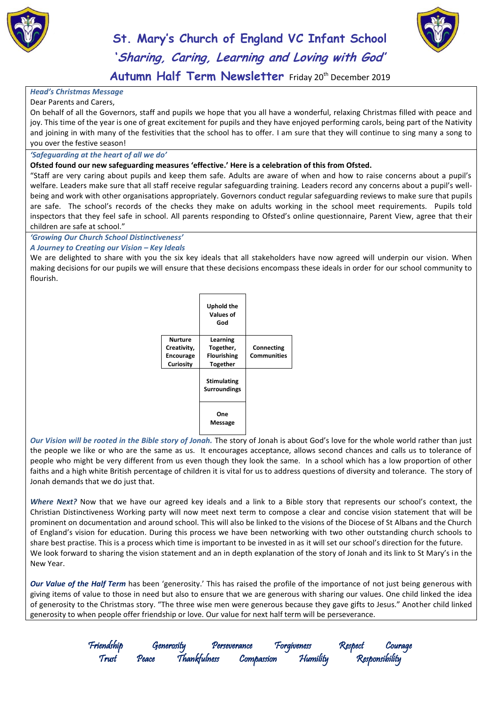



**Autumn Half Term Newsletter** Friday 20th December 2019

#### *Head's Christmas Message* Dear Parents and Carers,

On behalf of all the Governors, staff and pupils we hope that you all have a wonderful, relaxing Christmas filled with peace and joy. This time of the year is one of great excitement for pupils and they have enjoyed performing carols, being part of the Nativity and joining in with many of the festivities that the school has to offer. I am sure that they will continue to sing many a song to you over the festive season!

#### *'Safeguarding at the heart of all we do'*

#### **Ofsted found our new safeguarding measures 'effective.' Here is a celebration of this from Ofsted.**

"Staff are very caring about pupils and keep them safe. Adults are aware of when and how to raise concerns about a pupil's welfare. Leaders make sure that all staff receive regular safeguarding training. Leaders record any concerns about a pupil's wellbeing and work with other organisations appropriately. Governors conduct regular safeguarding reviews to make sure that pupils are safe. The school's records of the checks they make on adults working in the school meet requirements. Pupils told inspectors that they feel safe in school. All parents responding to Ofsted's online questionnaire, Parent View, agree that their children are safe at school."

#### *'Growing Our Church School Distinctiveness'*

#### *A Journey to Creating our Vision – Key Ideals*

We are delighted to share with you the six key ideals that all stakeholders have now agreed will underpin our vision. When making decisions for our pupils we will ensure that these decisions encompass these ideals in order for our school community to flourish.

|                  | Uphold the<br>Values of<br>God            |             |
|------------------|-------------------------------------------|-------------|
| Nurture          | Learning                                  |             |
| Creativity,      | Together,                                 | Connecting  |
| <b>Encourage</b> | <b>Flourishing</b>                        | Communities |
| <b>Curiosity</b> | <b>Together</b>                           |             |
|                  | <b>Stimulating</b><br><b>Surroundings</b> |             |
|                  | One<br>Message                            |             |

*Our Vision will be rooted in the Bible story of Jonah.* The story of Jonah is about God's love for the whole world rather than just the people we like or who are the same as us. It encourages acceptance, allows second chances and calls us to tolerance of people who might be very different from us even though they look the same. In a school which has a low proportion of other faiths and a high white British percentage of children it is vital for us to address questions of diversity and tolerance. The story of Jonah demands that we do just that.

*Where Next?* Now that we have our agreed key ideals and a link to a Bible story that represents our school's context, the Christian Distinctiveness Working party will now meet next term to compose a clear and concise vision statement that will be prominent on documentation and around school. This will also be linked to the visions of the Diocese of St Albans and the Church of England's vision for education. During this process we have been networking with two other outstanding church schools to share best practise. This is a process which time is important to be invested in as it will set our school's direction for the future. We look forward to sharing the vision statement and an in depth explanation of the story of Jonah and its link to St Mary's in the New Year.

*Our Value of the Half Term* has been 'generosity.' This has raised the profile of the importance of not just being generous with giving items of value to those in need but also to ensure that we are generous with sharing our values. One child linked the idea of generosity to the Christmas story. "The three wise men were generous because they gave gifts to Jesus." Another child linked generosity to when people offer friendship or love. Our value for next half term will be perseverance.

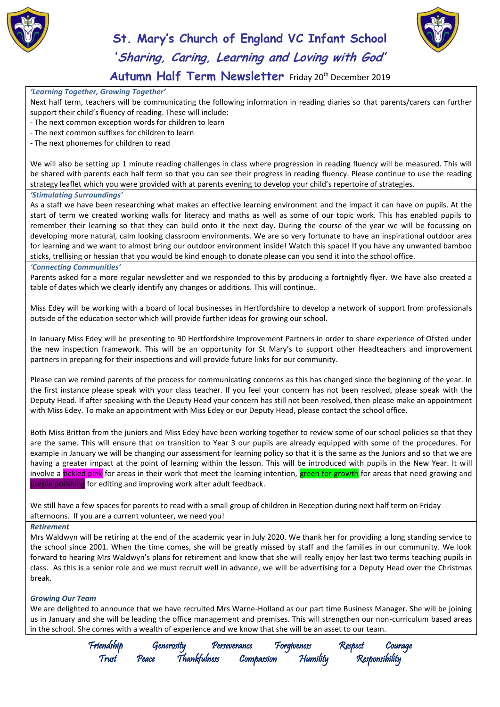



### **Autumn Half Term Newsletter** Friday 20th December 2019

#### *'Learning Together, Growing Together'*

Next half term, teachers will be communicating the following information in reading diaries so that parents/carers can further support their child's fluency of reading. These will include:

- The next common exception words for children to learn
- The next common suffixes for children to learn
- The next phonemes for children to read

We will also be setting up 1 minute reading challenges in class where progression in reading fluency will be measured. This will be shared with parents each half term so that you can see their progress in reading fluency. Please continue to use the reading strategy leaflet which you were provided with at parents evening to develop your child's repertoire of strategies.

#### *'Stimulating Surroundings'*

As a staff we have been researching what makes an effective learning environment and the impact it can have on pupils. At the start of term we created working walls for literacy and maths as well as some of our topic work. This has enabled pupils to remember their learning so that they can build onto it the next day. During the course of the year we will be focussing on developing more natural, calm looking classroom environments. We are so very fortunate to have an inspirational outdoor area for learning and we want to almost bring our outdoor environment inside! Watch this space! If you have any unwanted bamboo sticks, trellising or hessian that you would be kind enough to donate please can you send it into the school office.

#### *'Connecting Communities'*

Parents asked for a more regular newsletter and we responded to this by producing a fortnightly flyer. We have also created a table of dates which we clearly identify any changes or additions. This will continue.

Miss Edey will be working with a board of local businesses in Hertfordshire to develop a network of support from professionals outside of the education sector which will provide further ideas for growing our school.

In January Miss Edey will be presenting to 90 Hertfordshire Improvement Partners in order to share experience of Ofsted under the new inspection framework. This will be an opportunity for St Mary's to support other Headteachers and improvement partners in preparing for their inspections and will provide future links for our community.

Please can we remind parents of the process for communicating concerns as this has changed since the beginning of the year. In the first instance please speak with your class teacher. If you feel your concern has not been resolved, please speak with the Deputy Head. If after speaking with the Deputy Head your concern has still not been resolved, then please make an appointment with Miss Edey. To make an appointment with Miss Edey or our Deputy Head, please contact the school office.

Both Miss Britton from the juniors and Miss Edey have been working together to review some of our school policies so that they are the same. This will ensure that on transition to Year 3 our pupils are already equipped with some of the procedures. For example in January we will be changing our assessment for learning policy so that it is the same as the Juniors and so that we are having a greater impact at the point of learning within the lesson. This will be introduced with pupils in the New Year. It will involve a tickled pink for areas in their work that meet the learning intention, green for growth for areas that need growing and purple polishing for editing and improving work after adult feedback.

We still have a few spaces for parents to read with a small group of children in Reception during next half term on Friday afternoons. If you are a current volunteer, we need you!

#### *Retirement*

Mrs Waldwyn will be retiring at the end of the academic year in July 2020. We thank her for providing a long standing service to the school since 2001. When the time comes, she will be greatly missed by staff and the families in our community. We look forward to hearing Mrs Waldwyn's plans for retirement and know that she will really enjoy her last two terms teaching pupils in class. As this is a senior role and we must recruit well in advance, we will be advertising for a Deputy Head over the Christmas break.

#### *Growing Our Team*

We are delighted to announce that we have recruited Mrs Warne-Holland as our part time Business Manager. She will be joining us in January and she will be leading the office management and premises. This will strengthen our non-curriculum based areas in the school. She comes with a wealth of experience and we know that she will be an asset to our team.

Friendship Generosity Perseverance Forgiveness Respect Courage

Thankfulness Compassion Humility Responsibility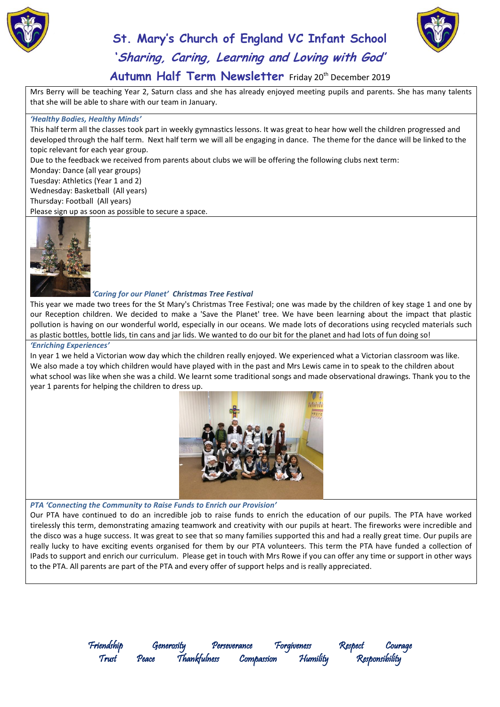



### Autumn Half Term Newsletter Friday 20<sup>th</sup> December 2019

Mrs Berry will be teaching Year 2, Saturn class and she has already enjoyed meeting pupils and parents. She has many talents that she will be able to share with our team in January.

#### *'Healthy Bodies, Healthy Minds'*

This half term all the classes took part in weekly gymnastics lessons. It was great to hear how well the children progressed and developed through the half term. Next half term we will all be engaging in dance. The theme for the dance will be linked to the topic relevant for each year group. Due to the feedback we received from parents about clubs we will be offering the following clubs next term: Monday: Dance (all year groups)

Tuesday: Athletics (Year 1 and 2) Wednesday: Basketball (All years)

Thursday: Football (All years)

Please sign up as soon as possible to secure a space.



#### *'Caring for our Planet' Christmas Tree Festival*

This year we made two trees for the St Mary's Christmas Tree Festival; one was made by the children of key stage 1 and one by our Reception children. We decided to make a 'Save the Planet' tree. We have been learning about the impact that plastic pollution is having on our wonderful world, especially in our oceans. We made lots of decorations using recycled materials such as plastic bottles, bottle lids, tin cans and jar lids. We wanted to do our bit for the planet and had lots of fun doing so!

#### *'Enriching Experiences'*

In year 1 we held a Victorian wow day which the children really enjoyed. We experienced what a Victorian classroom was like. We also made a toy which children would have played with in the past and Mrs Lewis came in to speak to the children about what school was like when she was a child. We learnt some traditional songs and made observational drawings. Thank you to the year 1 parents for helping the children to dress up.



#### *PTA 'Connecting the Community to Raise Funds to Enrich our Provision'*

Our PTA have continued to do an incredible job to raise funds to enrich the education of our pupils. The PTA have worked tirelessly this term, demonstrating amazing teamwork and creativity with our pupils at heart. The fireworks were incredible and the disco was a huge success. It was great to see that so many families supported this and had a really great time. Our pupils are really lucky to have exciting events organised for them by our PTA volunteers. This term the PTA have funded a collection of IPads to support and enrich our curriculum. Please get in touch with Mrs Rowe if you can offer any time or support in other ways to the PTA. All parents are part of the PTA and every offer of support helps and is really appreciated.

> Friendship Generosity Perseverance Forgiveness Respect Courage Trust Peace Thankfulness Compassion Humility Responsibility